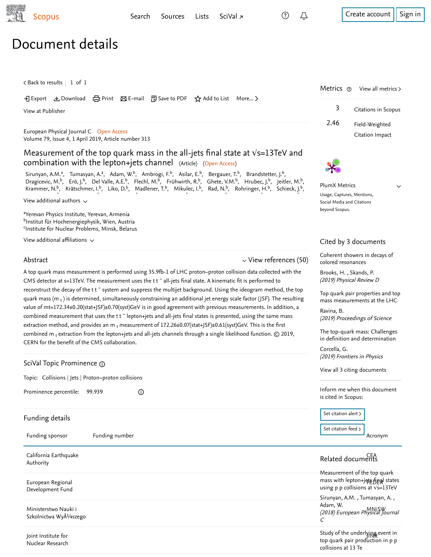[Search](https://www-scopus-com.ezproxy.um.edu.my/search/form.uri?zone=TopNavBar&origin=recordpage&display=basic) [Sources](https://www-scopus-com.ezproxy.um.edu.my/sources.uri?zone=TopNavBar&origin=recordpage) [Lists](https://www-scopus-com.ezproxy.um.edu.my/results/storedList.uri?listId=myDocList&origin=recordpage&zone=TopNavBar) [SciVal](https://www.scival.com/home) <del>1</del> [Create account](https://www-scopus-com.ezproxy.um.edu.my/signin.uri?origin=recordpage&zone=TopNavBar) [Sign in](https://www-scopus-com.ezproxy.um.edu.my/signin.uri?origin=recordpage&zone=TopNavBar)

Metrics  $\odot$  View all metrics >

2.46 Field-Weighted

3 Citations in Scopus

Citation Impact

 $\vee$ 

# Document details

 $\, <$  [Back to results](https://www-scopus-com.ezproxy.um.edu.my/results/results.uri?sort=plf-f&src=s&st1=10.1140%2fepjc%2fs10052-019-6788-2&st2=&sid=5c0dad9f033499b3e027d67c276e547b&sot=b&sdt=b&sl=35&s=DOI%2810.1140%2fepjc%2fs10052-019-6788-2%29&offset=1&origin=recordpage)  $\, \mid\, 1\,$  of  $\, 1$ 

### Export Download Print E-mail Save to PDF ⋆ Add to List More... ▻

[View at Publisher](https://www-scopus-com.ezproxy.um.edu.my/redirect/linking.uri?targetURL=https%3a%2f%2fdoi.org%2f10.1140%2fepjc%2fs10052-019-6788-2&locationID=1&categoryID=4&eid=2-s2.0-85064056375&issn=14346044&linkType=ViewAtPublisher&year=2019&origin=recordpage&dig=9026befe9e0de1c865f548d149c80acb&recordRank=)

[European Physical Journal C](https://www-scopus-com.ezproxy.um.edu.my/sourceid/27545?origin=recordpage) Open Access Volume 79, Issue 4, 1 April 2019, Article number 313

# Measurement of the top quark mass in the all-jets final state at √s=13TeV and combination with the lepton+jets channel (Article) (Open Access)

, Tumasyan, A.ª, Adam, W.º, Ambrogi, F.º, Asilar, E.º, Bergauer, T.º, Brandstetter, J.º, , Erö, J.º, Del Valle, A.E.º, Flechl, M.º, Frühwirth, R.º, Ghete, V.M.º, Hrubec, J.º, Jeitler, M.º, , Krätschmer, I.º, Liko, D.º, Madlener, T.º, Mikulec, I.º, Rad, N.º, Rohringer, H.º, Schieck, J.º, [Sirunyan, A.M.](https://www-scopus-com.ezproxy.um.edu.my/authid/detail.uri?authorId=16239550900&eid=2-s2.0-85064056375)ª, [Tumasyan, A.](https://www-scopus-com.ezproxy.um.edu.my/authid/detail.uri?authorId=35222495600&eid=2-s2.0-85064056375)ª, [Adam, W.](https://www-scopus-com.ezproxy.um.edu.my/authid/detail.uri?authorId=56217303000&eid=2-s2.0-85064056375)ʰ, [Ambrogi, F.](https://www-scopus-com.ezproxy.um.edu.my/authid/detail.uri?authorId=57195404626&eid=2-s2.0-85064056375)ʰ, [Asilar, E.](https://www-scopus-com.ezproxy.um.edu.my/authid/detail.uri?authorId=55175601800&eid=2-s2.0-85064056375)ʰ, [Bergauer, T.](https://www-scopus-com.ezproxy.um.edu.my/authid/detail.uri?authorId=57204570563&eid=2-s2.0-85064056375)ʰ, [Brandstetter, J.](https://www-scopus-com.ezproxy.um.edu.my/authid/detail.uri?authorId=56681989400&eid=2-s2.0-85064056375)ʰ, [Dragicevic, M.](https://www-scopus-com.ezproxy.um.edu.my/authid/detail.uri?authorId=23011684400&eid=2-s2.0-85064056375)<sup>b</sup>, [Erö, J.](https://www-scopus-com.ezproxy.um.edu.my/authid/detail.uri?authorId=8436223900&eid=2-s2.0-85064056375)<sup>b</sup>, [Del Valle, A.E.](https://www-scopus-com.ezproxy.um.edu.my/authid/detail.uri?authorId=56364416400&eid=2-s2.0-85064056375)<sup>b</sup>, [Flechl, M.](https://www-scopus-com.ezproxy.um.edu.my/authid/detail.uri?authorId=24757923200&eid=2-s2.0-85064056375)<sup>b</sup>, [Frühwirth, R.](https://www-scopus-com.ezproxy.um.edu.my/authid/detail.uri?authorId=8791909900&eid=2-s2.0-85064056375)<sup>b</sup>, [Ghete, V.M.](https://www-scopus-com.ezproxy.um.edu.my/authid/detail.uri?authorId=6603210566&eid=2-s2.0-85064056375)<sup>b</sup>, [Hrubec, J.](https://www-scopus-com.ezproxy.um.edu.my/authid/detail.uri?authorId=7007049415&eid=2-s2.0-85064056375)<sup>b</sup>, [Jeitler, M.](https://www-scopus-com.ezproxy.um.edu.my/authid/detail.uri?authorId=16019870600&eid=2-s2.0-85064056375)<sup>b</sup>, [Krammer, N.](https://www-scopus-com.ezproxy.um.edu.my/authid/detail.uri?authorId=57194835548&eid=2-s2.0-85064056375)<sup>b</sup>, [Krätschmer, I.](https://www-scopus-com.ezproxy.um.edu.my/authid/detail.uri?authorId=55350328500&eid=2-s2.0-85064056375)<sup>b</sup>, [Liko, D.](https://www-scopus-com.ezproxy.um.edu.my/authid/detail.uri?authorId=35227509400&eid=2-s2.0-85064056375)<sup>b</sup>, [Madlener, T.](https://www-scopus-com.ezproxy.um.edu.my/authid/detail.uri?authorId=57195487015&eid=2-s2.0-85064056375)<sup>b</sup>, [Mikulec, I.](https://www-scopus-com.ezproxy.um.edu.my/authid/detail.uri?authorId=15825660400&eid=2-s2.0-85064056375)<sup>b</sup>, [Rad, N.](https://www-scopus-com.ezproxy.um.edu.my/authid/detail.uri?authorId=57147348800&eid=2-s2.0-85064056375)<sup>b</sup>, [Rohringer, H.](https://www-scopus-com.ezproxy.um.edu.my/authid/detail.uri?authorId=35278858100&eid=2-s2.0-85064056375)<sup>b</sup>, [Schieck, J.](https://www-scopus-com.ezproxy.um.edu.my/authid/detail.uri?authorId=55325317300&eid=2-s2.0-85064056375)<sup>b</sup>, b b b b b b b

View additional authors  $\sim$ 

<sup>a</sup>Yerevan Physics Institute, Yerevan, Armenia <sup>b</sup>Institut für Hochenergiephysik, Wien, Austria <sup>c</sup>Institute for Nuclear Problems, Minsk, Belarus

View additional affiliations  $\sim$ 

#### Abstract

## $\vee$  [View references \(50\)](#page-6-0)

PlumX Metrics Usage, Captures, Mentions, Social Media and Citations beyond Scopus.

Cited by 3 documents

[Coherent showers in decays of](https://www-scopus-com.ezproxy.um.edu.my/record/display.uri?origin=citedby&eid=2-s2.0-85074376312&citeCnt=3&noHighlight=false&sort=plf-f&src=s&st1=10.1140%2fepjc%2fs10052-019-6788-2&st2=&sid=5c0dad9f033499b3e027d67c276e547b&sot=b&sdt=b&sl=35&s=DOI%2810.1140%2fepjc%2fs10052-019-6788-2%29&relpos=0)

, [Brooks, H.](https://www-scopus-com.ezproxy.um.edu.my/authid/detail.uri?origin=citedby&authorId=57203863895&zone=) [Skands, P.](https://www-scopus-com.ezproxy.um.edu.my/authid/detail.uri?origin=citedby&authorId=14827231400&zone=) (2019) Physical Review D

colored resonances

[Ravina, B.](https://www-scopus-com.ezproxy.um.edu.my/authid/detail.uri?origin=citedby&authorId=57201729863&zone=)

[Corcella, G.](https://www-scopus-com.ezproxy.um.edu.my/authid/detail.uri?origin=citedby&authorId=55926099600&zone=)

(2019) Proceedings of Science

[The top-quark mass: Challenges](https://www-scopus-com.ezproxy.um.edu.my/record/display.uri?origin=citedby&eid=2-s2.0-85068516745&citeCnt=3&noHighlight=false&sort=plf-f&src=s&st1=10.1140%2fepjc%2fs10052-019-6788-2&st2=&sid=5c0dad9f033499b3e027d67c276e547b&sot=b&sdt=b&sl=35&s=DOI%2810.1140%2fepjc%2fs10052-019-6788-2%29&relpos=2) in definition and determination

[Top quark pair properties and top](https://www-scopus-com.ezproxy.um.edu.my/record/display.uri?origin=citedby&eid=2-s2.0-85076438589&citeCnt=3&noHighlight=false&sort=plf-f&src=s&st1=10.1140%2fepjc%2fs10052-019-6788-2&st2=&sid=5c0dad9f033499b3e027d67c276e547b&sot=b&sdt=b&sl=35&s=DOI%2810.1140%2fepjc%2fs10052-019-6788-2%29&relpos=1) mass measurements at the LHC

A top quark mass measurement is performed using 35.9fb-1 of LHC proton–proton collision data collected with the CMS detector at s=13TeV. The measurement uses the  $t$   $\tau$  all-jets final state. A kinematic fit is performed to reconstruct the decay of the t t <sup>-</sup> system and suppress the multijet background. Using the ideogram method, the top quark mass (m  $_{\rm t}$  ) is determined, simultaneously constraining an additional jet energy scale factor (JSF). The resulting value of mt=172.34±0.20(stat+JSF)±0.70(syst)GeV is in good agreement with previous measurements. In addition, a combined measurement that uses the t  $t^-$  lepton+jets and all-jets final states is presented, using the same mass extraction method, and provides an m <sub>t</sub> measurement of 172.26±0.07(stat+JSF)±0.61(syst)GeV. This is the first combined m <sub>t</sub> extraction from the lepton+jets and all-jets channels through a single likelihood function. © 2019, CERN for the benefit of the CMS collaboration.

| SciVal Topic Prominence @                                    | (2019) Frontiers in Physics                                                                                     |  |
|--------------------------------------------------------------|-----------------------------------------------------------------------------------------------------------------|--|
| Topic: Collisions   Jets   Proton-proton collisions          | View all 3 citing documents                                                                                     |  |
| Prominence percentile:<br>99.939<br>⊙                        | Inform me when this document<br>is cited in Scopus:                                                             |  |
| Funding details                                              | Set citation alert >                                                                                            |  |
| Funding sponsor<br>Funding number                            | Set citation feed ><br>Acronym                                                                                  |  |
| California Earthquake<br>Authority                           | Related documents                                                                                               |  |
| European Regional<br>Development Fund                        | Measurement of the top quark<br>mass with lepton+jets fipal states<br>using p p collisions at $\sqrt{s}$ =13TeV |  |
| Ministerstwo Nauki i<br>Szkolnictwa WyÅ <sup>1/4</sup> szego | Sirunyan, A.M., Tumasyan, A.,<br>Adam, W.<br>MNISW<br>(2018) European Physical Journal<br>C                     |  |
| Joint Institute for<br>Nuclear Research                      | Study of the underlying event in<br>top quark pair production in p p<br>collisions at 13 Te                     |  |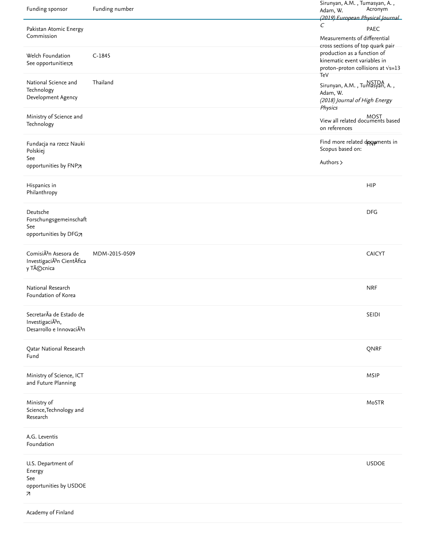| Funding sponsor                                                                          | Funding number | Sirunyan, A.M., Tumasyan, A.,<br>Adam, W.<br>(2019) European Physical Journal                                                                | Acronym       |
|------------------------------------------------------------------------------------------|----------------|----------------------------------------------------------------------------------------------------------------------------------------------|---------------|
| Pakistan Atomic Energy<br>Commission                                                     |                | C<br>Measurements of differential                                                                                                            | PAEC          |
| Welch Foundation<br>See opportunities7                                                   | $C-1845$       | cross sections of top quark pair-<br>production as a function of<br>kinematic event variables in<br>proton-proton collisions at Vs=13<br>TeV |               |
| National Science and<br>Technology<br>Development Agency                                 | Thailand       | Sirunyan, A.M., Tumasyan, A.,<br>Adam, W.<br>(2018) Journal of High Energy<br>Physics                                                        |               |
| Ministry of Science and<br>Technology                                                    |                | MOST<br>View all related documents based<br>on references                                                                                    |               |
| Fundacja na rzecz Nauki<br>Polskiej                                                      |                | Find more related doguments in<br>Scopus based on:                                                                                           |               |
| See<br>opportunities by FNP7                                                             |                | Authors >                                                                                                                                    |               |
| Hispanics in<br>Philanthropy                                                             |                |                                                                                                                                              | <b>HIP</b>    |
| Deutsche<br>Forschungsgemeinschaft<br>See<br>opportunities by DFG7                       |                |                                                                                                                                              | <b>DFG</b>    |
| ComisiÃ <sup>3</sup> n Asesora de<br>InvestigaciÃ <sup>3</sup> n CientÃfica<br>y Técnica | MDM-2015-0509  |                                                                                                                                              | <b>CAICYT</b> |
| National Research<br>Foundation of Korea                                                 |                |                                                                                                                                              | <b>NRF</b>    |
| SecretarÃa de Estado de<br>InvestigaciÃ3n,<br>Desarrollo e InnovaciÃ3n                   |                |                                                                                                                                              | SEIDI         |
| Qatar National Research<br>Fund                                                          |                |                                                                                                                                              | QNRF          |
| Ministry of Science, ICT<br>and Future Planning                                          |                |                                                                                                                                              | MSIP          |
| Ministry of<br>Science, Technology and<br>Research                                       |                |                                                                                                                                              | MoSTR         |
| A.G. Leventis<br>Foundation                                                              |                |                                                                                                                                              |               |
| U.S. Department of<br>Energy<br>See<br>opportunities by USDOE<br>7                       |                |                                                                                                                                              | <b>USDOE</b>  |
| Academy of Finland                                                                       |                |                                                                                                                                              |               |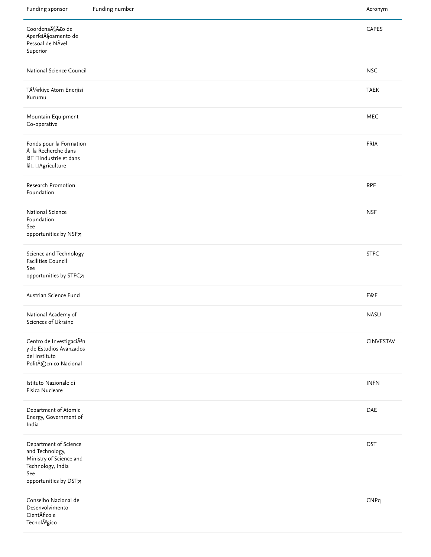| Funding sponsor                                                                                                          | Funding number | Acronym     |
|--------------------------------------------------------------------------------------------------------------------------|----------------|-------------|
| Coordenação de<br>Aperfeià Soamento de<br>Pessoal de NÃvel<br>Superior                                                   |                | CAPES       |
| National Science Council                                                                                                 |                | <b>NSC</b>  |
| TÃ1/4rkiye Atom Enerjisi<br>Kurumu                                                                                       |                | <b>TAEK</b> |
| Mountain Equipment<br>Co-operative                                                                                       |                | <b>MEC</b>  |
| Fonds pour la Formation<br>à la Recherche dans<br>lâ□□Industrie et dans<br>$\textsf{I} \widehat{a} \Box \Box \textsf{A}$ |                | <b>FRIA</b> |
| Research Promotion<br>Foundation                                                                                         |                | <b>RPF</b>  |
| National Science<br>Foundation<br>See<br>opportunities by NSF7                                                           |                | <b>NSF</b>  |
| Science and Technology<br>Facilities Council<br>See<br>opportunities by STFC7                                            |                | <b>STFC</b> |
| Austrian Science Fund                                                                                                    |                | <b>FWF</b>  |
| National Academy of<br>Sciences of Ukraine                                                                               |                | <b>NASU</b> |
| Centro de InvestigaciÃ3n<br>y de Estudios Avanzados<br>del Instituto<br>Politécnico Nacional                             |                | CINVESTAV   |
| Istituto Nazionale di<br>Fisica Nucleare                                                                                 |                | <b>INFN</b> |
| Department of Atomic<br>Energy, Government of<br>India                                                                   |                | DAE         |
| Department of Science<br>and Technology,<br>Ministry of Science and<br>Technology, India<br>See<br>opportunities by DST7 |                | <b>DST</b>  |
| Conselho Nacional de<br>Desenvolvimento<br>CientÃfico e<br>TecnolÃ <sup>3</sup> gico                                     |                | CNPq        |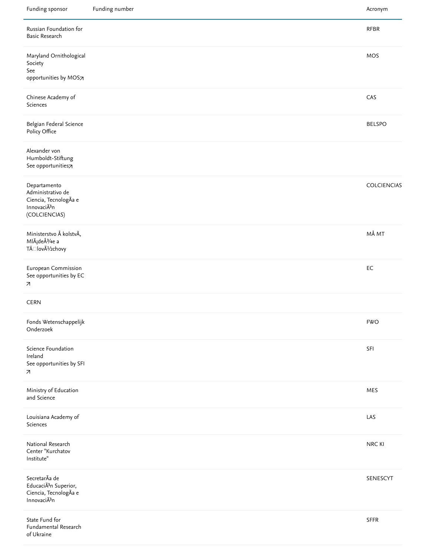| Funding sponsor                                                                            | Funding number | Acronym            |
|--------------------------------------------------------------------------------------------|----------------|--------------------|
| Russian Foundation for<br><b>Basic Research</b>                                            |                | RFBR               |
| Maryland Ornithological<br>Society<br>See                                                  |                | MOS                |
| opportunities by MOS7                                                                      |                |                    |
| Chinese Academy of<br>Sciences                                                             |                | CAS                |
| Belgian Federal Science<br>Policy Office                                                   |                | <b>BELSPO</b>      |
| Alexander von<br>Humboldt-Stiftung<br>See opportunities7                                   |                |                    |
| Departamento<br>Administrativo de<br>Ciencia, TecnologÃa e<br>InnovaciÃ3n<br>(COLCIENCIAS) |                | <b>COLCIENCIAS</b> |
| Ministerstvo Å kolstvÃ,<br>Mládeže a<br>TÄ□lovýchovy                                       |                | MÅ MT              |
| European Commission<br>See opportunities by EC<br>$\overline{\phantom{a}}$                 |                | EC                 |
| <b>CERN</b>                                                                                |                |                    |
| Fonds Wetenschappelijk<br>Onderzoek                                                        |                | <b>FWO</b>         |
| Science Foundation<br>Ireland<br>See opportunities by SFI<br>$\overline{\phantom{a}}$      |                | SFI                |
| Ministry of Education<br>and Science                                                       |                | MES                |
| Louisiana Academy of<br>Sciences                                                           |                | LAS                |
| National Research<br>Center "Kurchatov<br>Institute"                                       |                | NRC KI             |
| SecretarÃa de<br>EducaciÃ <sup>3</sup> n Superior,<br>Ciencia, TecnologÃa e<br>InnovaciÃ3n |                | SENESCYT           |
| State Fund for<br>Fundamental Research<br>of Ukraine                                       |                | SFFR               |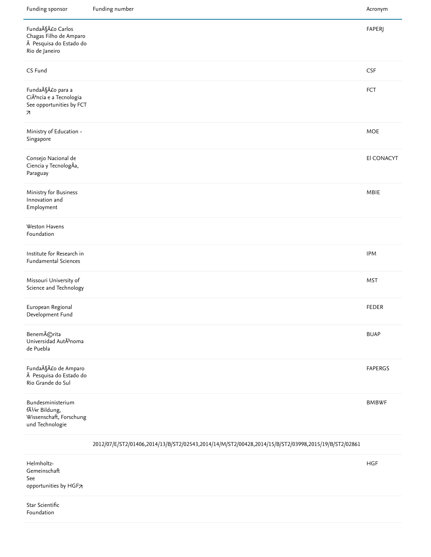| Funding sponsor                                                                                                 | Funding number                                                                                      | Acronym        |
|-----------------------------------------------------------------------------------------------------------------|-----------------------------------------------------------------------------------------------------|----------------|
| Fundação Carlos<br>Chagas Filho de Amparo<br>à Pesquisa do Estado do<br>Rio de Janeiro                          |                                                                                                     | <b>FAPERJ</b>  |
| CS Fund                                                                                                         |                                                                                                     | <b>CSF</b>     |
| Fundação para a<br>CiÃ <sup>a</sup> ncia e a Tecnologia<br>See opportunities by FCT<br>$\overline{\phantom{a}}$ |                                                                                                     | FCT            |
| Ministry of Education -<br>Singapore                                                                            |                                                                                                     | <b>MOE</b>     |
| Consejo Nacional de<br>Ciencia y TecnologÃa,<br>Paraguay                                                        |                                                                                                     | El CONACYT     |
| Ministry for Business<br>Innovation and<br>Employment                                                           |                                                                                                     | MBIE           |
| Weston Havens<br>Foundation                                                                                     |                                                                                                     |                |
| Institute for Research in<br><b>Fundamental Sciences</b>                                                        |                                                                                                     | <b>IPM</b>     |
| Missouri University of<br>Science and Technology                                                                |                                                                                                     | <b>MST</b>     |
| European Regional<br>Development Fund                                                                           |                                                                                                     | <b>FEDER</b>   |
| Benemérita<br>Universidad AutÃ3noma<br>de Puebla                                                                |                                                                                                     | <b>BUAP</b>    |
| Fundação de Amparo<br>à Pesquisa do Estado do<br>Rio Grande do Sul                                              |                                                                                                     | <b>FAPERGS</b> |
| Bundesministerium<br>fÃ1/4r Bildung,<br>Wissenschaft, Forschung<br>und Technologie                              |                                                                                                     | <b>BMBWF</b>   |
|                                                                                                                 | 2012/07/E/ST2/01406,2014/13/B/ST2/02543,2014/14/M/ST2/00428,2014/15/B/ST2/03998,2015/19/B/ST2/02861 |                |

Helmholtz-Gemeinschaft [opportunities by HGF](https://www.mendeley.com/research-funding/501100001656/opportunities?dgcid=scopus_referral_fundingacknowledgement)71 See

Star Scientific Foundation

HGF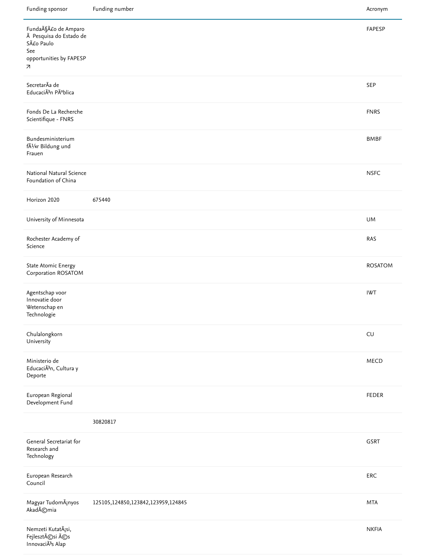| Funding sponsor                                                                              | Funding number                     | Acronym        |
|----------------------------------------------------------------------------------------------|------------------------------------|----------------|
| Fundação de Amparo<br>à Pesquisa do Estado de<br>São Paulo<br>See<br>opportunities by FAPESP |                                    | FAPESP         |
| 7                                                                                            |                                    |                |
| SecretarÃa de<br>EducaciÃ3n Pública                                                          |                                    | SEP            |
| Fonds De La Recherche<br>Scientifique - FNRS                                                 |                                    | <b>FNRS</b>    |
| Bundesministerium<br>fÃ1/4r Bildung und<br>Frauen                                            |                                    | <b>BMBF</b>    |
| National Natural Science<br>Foundation of China                                              |                                    | <b>NSFC</b>    |
| Horizon 2020                                                                                 | 675440                             |                |
| University of Minnesota                                                                      |                                    | <b>UM</b>      |
| Rochester Academy of<br>Science                                                              |                                    | RAS            |
| <b>State Atomic Energy</b><br>Corporation ROSATOM                                            |                                    | <b>ROSATOM</b> |
| Agentschap voor<br>Innovatie door<br>Wetenschap en<br>Technologie                            |                                    | <b>IWT</b>     |
| Chulalongkorn<br>University                                                                  |                                    | CU             |
| Ministerio de<br>EducaciÃ <sup>3</sup> n, Cultura y<br>Deporte                               |                                    | MECD           |
| European Regional<br>Development Fund                                                        |                                    | <b>FEDER</b>   |
|                                                                                              | 30820817                           |                |
| General Secretariat for<br>Research and<br>Technology                                        |                                    | GSRT           |
| European Research<br>Council                                                                 |                                    | ERC            |
| Magyar Tudom¡nyos<br>Akadémia                                                                | 125105,124850,123842,123959,124845 | <b>MTA</b>     |
| Nemzeti Kutatási,<br>Fejlesztési és<br>InnovaciÃ <sup>3</sup> s Alap                         |                                    | <b>NKFIA</b>   |